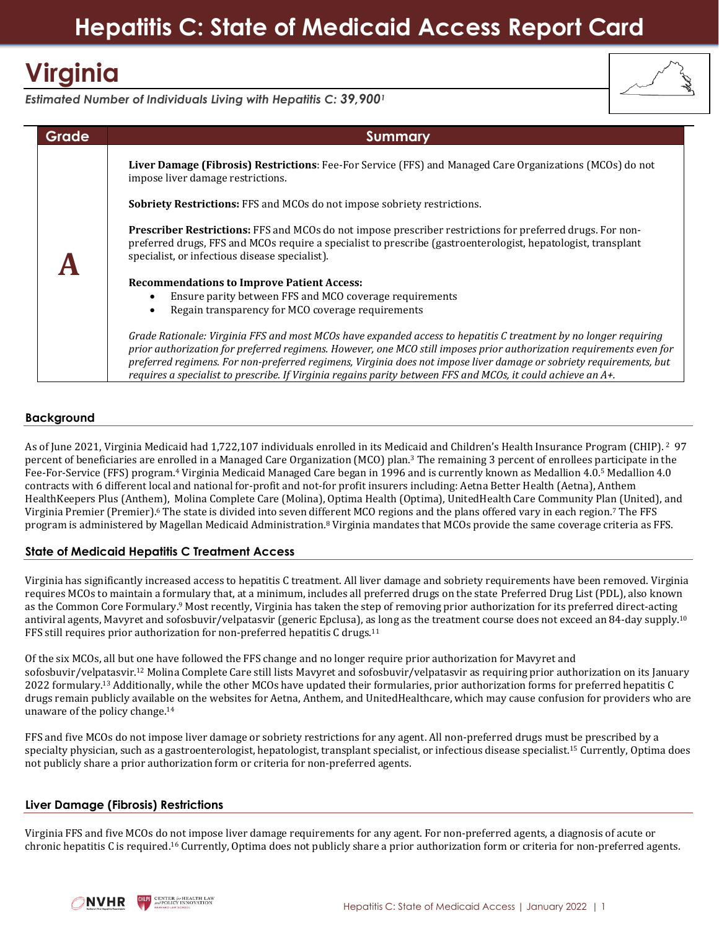# **Virginia**



*Estimated Number of Individuals Living with Hepatitis C: 39,900<sup>1</sup>*

| <b>Grade</b> | <b>Summary</b>                                                                                                                                                                                                                                                                                                                                                                                                                                                                  |
|--------------|---------------------------------------------------------------------------------------------------------------------------------------------------------------------------------------------------------------------------------------------------------------------------------------------------------------------------------------------------------------------------------------------------------------------------------------------------------------------------------|
|              | Liver Damage (Fibrosis) Restrictions: Fee-For Service (FFS) and Managed Care Organizations (MCOs) do not<br>impose liver damage restrictions.                                                                                                                                                                                                                                                                                                                                   |
|              | <b>Sobriety Restrictions:</b> FFS and MCOs do not impose sobriety restrictions.                                                                                                                                                                                                                                                                                                                                                                                                 |
|              | <b>Prescriber Restrictions:</b> FFS and MCOs do not impose prescriber restrictions for preferred drugs. For non-<br>preferred drugs, FFS and MCOs require a specialist to prescribe (gastroenterologist, hepatologist, transplant<br>specialist, or infectious disease specialist).                                                                                                                                                                                             |
|              | <b>Recommendations to Improve Patient Access:</b>                                                                                                                                                                                                                                                                                                                                                                                                                               |
|              | Ensure parity between FFS and MCO coverage requirements<br>Regain transparency for MCO coverage requirements                                                                                                                                                                                                                                                                                                                                                                    |
|              | Grade Rationale: Virginia FFS and most MCOs have expanded access to hepatitis C treatment by no longer requiring<br>prior authorization for preferred regimens. However, one MCO still imposes prior authorization requirements even for<br>preferred regimens. For non-preferred regimens, Virginia does not impose liver damage or sobriety requirements, but<br>requires a specialist to prescribe. If Virginia regains parity between FFS and MCOs, it could achieve an A+. |

## **Background**

As of June 2021, Virginia Medicaid had 1,722,107 individuals enrolled in its Medicaid and Children's Health Insurance Program (CHIP). <sup>2</sup> 97 percent of beneficiaries are enrolled in a Managed Care Organization (MCO) plan.<sup>3</sup> The remaining 3 percent of enrollees participate in the Fee-For-Service (FFS) program.<sup>4</sup> Virginia Medicaid Managed Care began in 1996 and is currently known as Medallion 4.0.<sup>5</sup> Medallion 4.0 contracts with 6 different local and national for-profit and not-for profit insurers including: Aetna Better Health (Aetna), Anthem HealthKeepers Plus (Anthem), Molina Complete Care (Molina), Optima Health (Optima), UnitedHealth Care Community Plan (United), and Virginia Premier (Premier).<sup>6</sup> The state is divided into seven different MCO regions and the plans offered vary in each region.<sup>7</sup> The FFS program is administered by Magellan Medicaid Administration.<sup>8</sup> Virginia mandates that MCOs provide the same coverage criteria as FFS.

## **State of Medicaid Hepatitis C Treatment Access**

Virginia has significantly increased access to hepatitis C treatment. All liver damage and sobriety requirements have been removed. Virginia requires MCOs to maintain a formulary that, at a minimum, includes all preferred drugs on the state Preferred Drug List (PDL), also known as the Common Core Formulary.<sup>9</sup> Most recently, Virginia has taken the step of removing prior authorization for its preferred direct-acting antiviral agents, Mavyret and sofosbuvir/velpatasvir (generic Epclusa), as long as the treatment course does not exceed an 84-day supply.<sup>10</sup> FFS still requires prior authorization for non-preferred hepatitis C drugs.<sup>11</sup>

Of the six MCOs, all but one have followed the FFS change and no longer require prior authorization for Mavyret and sofosbuvir/velpatasvir.<sup>12</sup> Molina Complete Care still lists Mavyret and sofosbuvir/velpatasvir as requiring prior authorization on its January 2022 formulary.<sup>13</sup> Additionally, while the other MCOs have updated their formularies, prior authorization forms for preferred hepatitis C drugs remain publicly available on the websites for Aetna, Anthem, and UnitedHealthcare, which may cause confusion for providers who are unaware of the policy change. 14

FFS and five MCOs do not impose liver damage or sobriety restrictions for any agent. All non-preferred drugs must be prescribed by a specialty physician, such as a gastroenterologist, hepatologist, transplant specialist, or infectious disease specialist.<sup>15</sup> Currently, Optima does not publicly share a prior authorization form or criteria for non-preferred agents.

### **Liver Damage (Fibrosis) Restrictions**

Virginia FFS and five MCOs do not impose liver damage requirements for any agent. For non-preferred agents, a diagnosis of acute or chronic hepatitis C is required.<sup>16</sup> Currently, Optima does not publicly share a prior authorization form or criteria for non-preferred agents.

**CENTER for HEALTH LAV**<br>**CENTER for HEALTH LAV** NVHR